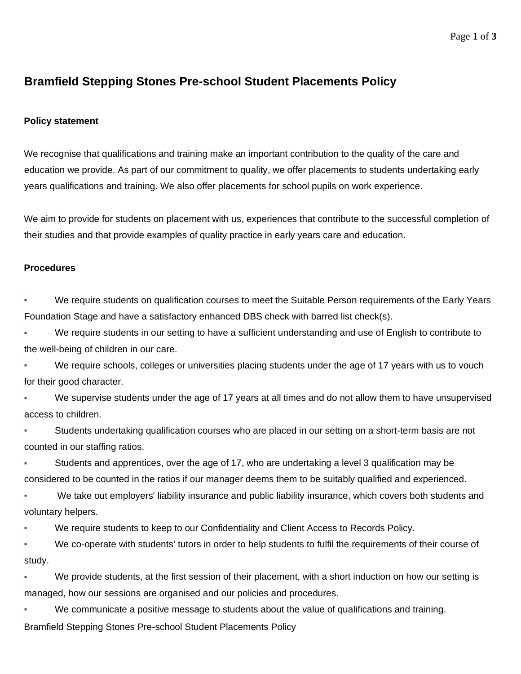## **Bramfield Stepping Stones Pre-school Student Placements Policy**

## **Policy statement**

We recognise that qualifications and training make an important contribution to the quality of the care and education we provide. As part of our commitment to quality, we offer placements to students undertaking early years qualifications and training. We also offer placements for school pupils on work experience.

We aim to provide for students on placement with us, experiences that contribute to the successful completion of their studies and that provide examples of quality practice in early years care and education.

## **Procedures**

We require students on qualification courses to meet the Suitable Person requirements of the Early Years Foundation Stage and have a satisfactory enhanced DBS check with barred list check(s).

We require students in our setting to have a sufficient understanding and use of English to contribute to the well-being of children in our care.

We require schools, colleges or universities placing students under the age of 17 years with us to vouch for their good character.

We supervise students under the age of 17 years at all times and do not allow them to have unsupervised access to children.

Students undertaking qualification courses who are placed in our setting on a short-term basis are not counted in our staffing ratios.

• Students and apprentices, over the age of 17, who are undertaking a level 3 qualification may be considered to be counted in the ratios if our manager deems them to be suitably qualified and experienced.

We take out employers' liability insurance and public liability insurance, which covers both students and voluntary helpers.

We require students to keep to our Confidentiality and Client Access to Records Policy.

▪ We co-operate with students' tutors in order to help students to fulfil the requirements of their course of study.

We provide students, at the first session of their placement, with a short induction on how our setting is managed, how our sessions are organised and our policies and procedures.

We communicate a positive message to students about the value of qualifications and training.

Bramfield Stepping Stones Pre-school Student Placements Policy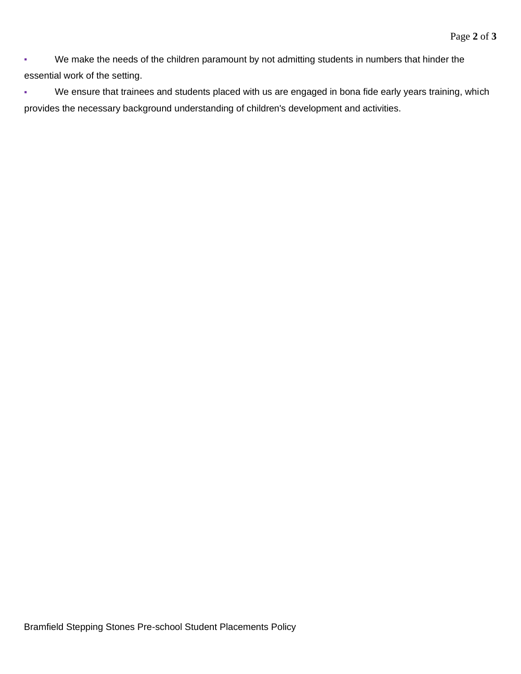▪ We make the needs of the children paramount by not admitting students in numbers that hinder the essential work of the setting.

▪ We ensure that trainees and students placed with us are engaged in bona fide early years training, which provides the necessary background understanding of children's development and activities.